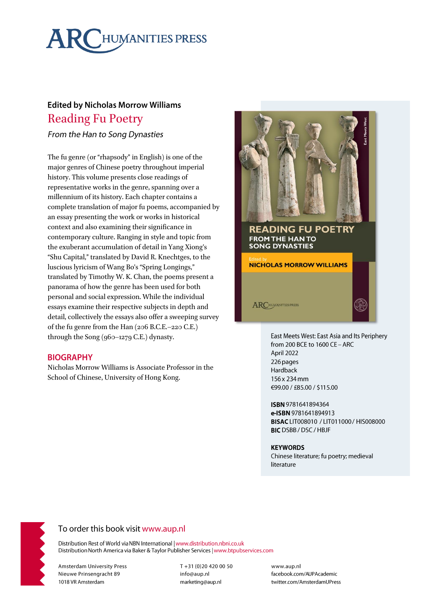# **ARCHUMANITIES PRESS**

## **Edited by Nicholas Morrow Williams Reading Fu Poetry**

From the Han to Song Dynasties

The fu genre (or "rhapsody" in English) is one of the major genres of Chinese poetry throughout imperial history. This volume presents close readings of representative works in the genre, spanning over a millennium of its history. Each chapter contains a complete translation of major fu poems, accompanied by an essay presenting the work or works in historical context and also examining their significance in contemporary culture. Ranging in style and topic from the exuberant accumulation of detail in Yang Xiong's "Shu Capital," translated by David R. Knechtges, to the luscious lyricism of Wang Bo's "Spring Longings," translated by Timothy W. K. Chan, the poems present a panorama of how the genre has been used for both personal and social expression. While the individual essays examine their respective subjects in depth and detail, collectively the essays also offer a sweeping survey of the fu genre from the Han (206 B.C.E.-220 C.E.) through the Song (960-1279 C.E.) dynasty.

## **BIOGRAPHY**

Nicholas Morrow Williams is Associate Professor in the School of Chinese, University of Hong Kong.



East Meets West: East Asia and Its Periphery from 200 BCE to 1600 CE - ARC April 2022 226 pages Hardback 156 x 234 mm €99.00 / £85.00 / \$115.00

ISBN 9781641894364 e-ISBN 9781641894913 BISAC LIT008010 / LIT011000 / HIS008000 **BIC** DSBB / DSC / HBJF

#### **KEYWORDS**

Chinese literature; fu poetry; medieval literature



## To order this book visit www.aup.nl

Distribution Rest of World via NBN International | www.distribution.nbni.co.uk Distribution North America via Baker & Taylor Publisher Services | www.btpubservices.com

**Amsterdam University Press** Nieuwe Prinsengracht 89 1018 VR Amsterdam

T+31 (0)20 420 00 50 info@aup.nl marketing@aup.nl

www.aup.nl facebook.com/AUPAcademic twitter.com/AmsterdamUPress